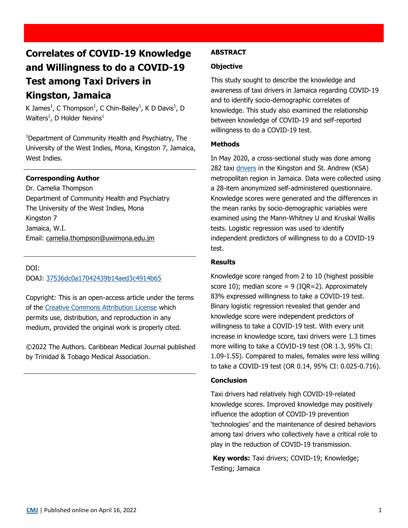# **Correlates of COVID-19 Knowledge and Willingness to do a COVID-19 Test among Taxi Drivers in Kingston, Jamaica**

K James<sup>1</sup>, C Thompson<sup>1</sup>, C Chin-Bailey<sup>1</sup>, K D Davis<sup>1</sup>, D Walters<sup>1</sup>, D Holder Nevins<sup>1</sup>

<sup>1</sup>Department of Community Health and Psychiatry, The University of the West Indies, Mona, Kingston 7, Jamaica, West Indies.

## **Corresponding Author**

Dr. Camelia Thompson Department of Community Health and Psychiatry The University of the West Indies, Mona Kingston 7 Jamaica, W.I. Email: [camelia.thompson@uwimona.edu.jm](mailto:camelia.thompson@uwimona.edu.jm)

DOI:

DOAJ: [37536dc0a17042439b14aed3c4914b65](https://doaj.org/article/37536dc0a17042439b14aed3c4914b65)

Copyright: This is an open-access article under the terms of the [Creative Commons Attribution License](https://creativecommons.org/licenses/by/4.0/) which permits use, distribution, and reproduction in any medium, provided the original work is properly cited.

©2022 The Authors. Caribbean Medical Journal published by Trinidad & Tobago Medical Association.

### **ABSTRACT**

#### **Objective**

This study sought to describe the knowledge and awareness of taxi drivers in Jamaica regarding COVID-19 and to identify socio-demographic correlates of knowledge. This study also examined the relationship between knowledge of COVID-19 and self-reported willingness to do a COVID-19 test.

#### **Methods**

In May 2020, a cross-sectional study was done among 282 taxi drivers in the Kingston and St. Andrew (KSA) metropolitan region in Jamaica. Data were collected using a 28-item anonymized self-administered questionnaire. Knowledge scores were generated and the differences in the mean ranks by socio-demographic variables were examined using the Mann-Whitney U and Kruskal Wallis tests. Logistic regression was used to identify independent predictors of willingness to do a COVID-19 test.

#### **Results**

Knowledge score ranged from 2 to 10 (highest possible score 10); median score =  $9$  (IQR=2). Approximately 83% expressed willingness to take a COVID-19 test. Binary logistic regression revealed that gender and knowledge score were independent predictors of willingness to take a COVID-19 test. With every unit increase in knowledge score, taxi drivers were 1.3 times more willing to take a COVID-19 test (OR 1.3, 95% CI: 1.09-1.55). Compared to males, females were less willing to take a COVID-19 test (OR 0.14, 95% CI: 0.025-0.716).

#### **Conclusion**

Taxi drivers had relatively high COVID-19-related knowledge scores. Improved knowledge may positively influence the adoption of COVID-19 prevention 'technologies' and the maintenance of desired behaviors among taxi drivers who collectively have a critical role to play in the reduction of COVID-19 transmission.

**Key words:** Taxi drivers; COVID-19; Knowledge; Testing; Jamaica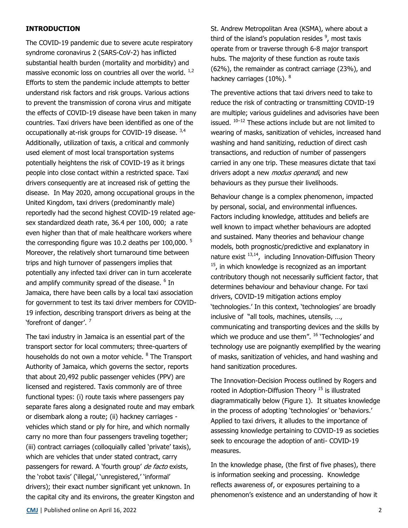### **INTRODUCTION**

The COVID-19 pandemic due to severe acute respiratory syndrome coronavirus 2 (SARS-CoV-2) has inflicted substantial health burden (mortality and morbidity) and massive economic loss on countries all over the world.  $1/2$ Efforts to stem the pandemic include attempts to better understand risk factors and risk groups. Various actions to prevent the transmission of corona virus and mitigate the effects of COVID-19 disease have been taken in many countries. Taxi drivers have been identified as one of the occupationally at-risk groups for COVID-19 disease. 3,4 Additionally, utilization of taxis, a critical and commonly used element of most local transportation systems potentially heightens the risk of COVID-19 as it brings people into close contact within a restricted space. Taxi drivers consequently are at increased risk of getting the disease. In May 2020, among occupational groups in the United Kingdom, taxi drivers (predominantly male) reportedly had the second highest COVID-19 related agesex standardized death rate, 36.4 per 100, 000; a rate even higher than that of male healthcare workers where the corresponding figure was 10.2 deaths per 100,000.  $5$ Moreover, the relatively short turnaround time between trips and high turnover of passengers implies that potentially any infected taxi driver can in turn accelerate and amplify community spread of the disease. <sup>6</sup> In Jamaica, there have been calls by a local taxi association for government to test its taxi driver members for COVID-19 infection, describing transport drivers as being at the 'forefront of danger'. <sup>7</sup>

The taxi industry in Jamaica is an essential part of the transport sector for local commuters; three-quarters of households do not own a motor vehicle. <sup>8</sup> The Transport Authority of Jamaica, which governs the sector, reports that about 20,492 public passenger vehicles (PPV) are licensed and registered. Taxis commonly are of three functional types: (i) route taxis where passengers pay separate fares along a designated route and may embark or disembark along a route; (ii) hackney carriages vehicles which stand or ply for hire, and which normally carry no more than four passengers traveling together; (iii) contract carriages (colloquially called 'private' taxis), which are vehicles that under stated contract, carry passengers for reward. A 'fourth group' de facto exists, the 'robot taxis' ('illegal,' 'unregistered,' 'informal' drivers); their exact number significant yet unknown. In the capital city and its environs, the greater Kingston and The preventive actions that taxi drivers need to take to reduce the risk of contracting or transmitting COVID-19 are multiple; various guidelines and advisories have been issued.  $10-12$  These actions include but are not limited to wearing of masks, sanitization of vehicles, increased hand washing and hand sanitizing, reduction of direct cash transactions, and reduction of number of passengers carried in any one trip. These measures dictate that taxi drivers adopt a new *modus operandi*, and new behaviours as they pursue their livelihoods.

Behaviour change is a complex phenomenon, impacted by personal, social, and environmental influences. Factors including knowledge, attitudes and beliefs are well known to impact whether behaviours are adopted and sustained. Many theories and behaviour change models, both prognostic/predictive and explanatory in nature exist  $13,14$ , including Innovation-Diffusion Theory  $15$ , in which knowledge is recognized as an important contributory though not necessarily sufficient factor, that determines behaviour and behaviour change. For taxi drivers, COVID-19 mitigation actions employ 'technologies.' In this context, 'technologies' are broadly inclusive of "all tools, machines, utensils, …, communicating and transporting devices and the skills by which we produce and use them". <sup>16</sup> 'Technologies' and technology use are poignantly exemplified by the wearing of masks, sanitization of vehicles, and hand washing and hand sanitization procedures.

The Innovation-Decision Process outlined by Rogers and rooted in Adoption-Diffusion Theory  $15$  is illustrated diagrammatically below (Figure 1). It situates knowledge in the process of adopting 'technologies' or 'behaviors.' Applied to taxi drivers, it alludes to the importance of assessing knowledge pertaining to COVID-19 as societies seek to encourage the adoption of anti- COVID-19 measures.

In the knowledge phase, (the first of five phases), there is information seeking and processing. Knowledge reflects awareness of, or exposures pertaining to a phenomenon's existence and an understanding of how it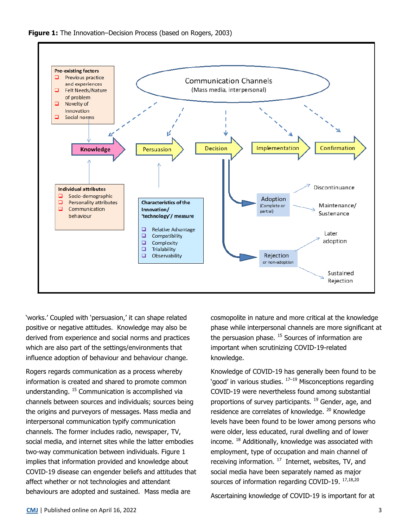



'works.' Coupled with 'persuasion,' it can shape related positive or negative attitudes. Knowledge may also be derived from experience and social norms and practices which are also part of the settings/environments that influence adoption of behaviour and behaviour change.

Rogers regards communication as a process whereby information is created and shared to promote common understanding. <sup>15</sup> Communication is accomplished via channels between sources and individuals; sources being the origins and purveyors of messages. Mass media and interpersonal communication typify communication channels. The former includes radio, newspaper, TV, social media, and internet sites while the latter embodies two-way communication between individuals. Figure 1 implies that information provided and knowledge about COVID-19 disease can engender beliefs and attitudes that affect whether or not technologies and attendant behaviours are adopted and sustained. Mass media are

cosmopolite in nature and more critical at the knowledge phase while interpersonal channels are more significant at the persuasion phase.  $15$  Sources of information are important when scrutinizing COVID-19-related knowledge.

Knowledge of COVID-19 has generally been found to be 'good' in various studies. <sup>17–19</sup> Misconceptions regarding COVID-19 were nevertheless found among substantial proportions of survey participants.<sup>19</sup> Gender, age, and residence are correlates of knowledge. <sup>20</sup> Knowledge levels have been found to be lower among persons who were older, less educated, rural dwelling and of lower income. <sup>18</sup> Additionally, knowledge was associated with employment, type of occupation and main channel of receiving information.  $^{17}$  Internet, websites, TV, and social media have been separately named as major sources of information regarding COVID-19. 17,18,20

Ascertaining knowledge of COVID-19 is important for at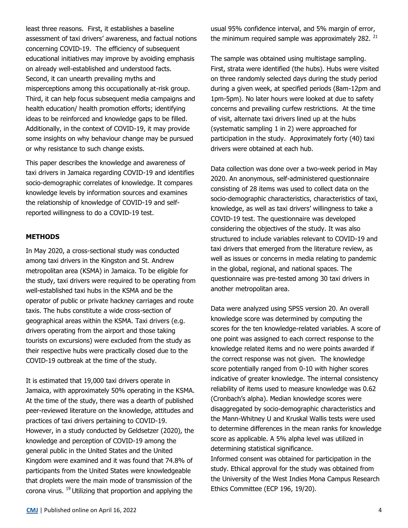least three reasons. First, it establishes a baseline assessment of taxi drivers' awareness, and factual notions concerning COVID-19. The efficiency of subsequent educational initiatives may improve by avoiding emphasis on already well-established and understood facts. Second, it can unearth prevailing myths and misperceptions among this occupationally at-risk group. Third, it can help focus subsequent media campaigns and health education/ health promotion efforts; identifying ideas to be reinforced and knowledge gaps to be filled. Additionally, in the context of COVID-19, it may provide some insights on why behaviour change may be pursued or why resistance to such change exists.

This paper describes the knowledge and awareness of taxi drivers in Jamaica regarding COVID-19 and identifies socio-demographic correlates of knowledge. It compares knowledge levels by information sources and examines the relationship of knowledge of COVID-19 and selfreported willingness to do a COVID-19 test.

#### **METHODS**

In May 2020, a cross-sectional study was conducted among taxi drivers in the Kingston and St. Andrew metropolitan area (KSMA) in Jamaica. To be eligible for the study, taxi drivers were required to be operating from well-established taxi hubs in the KSMA and be the operator of public or private hackney carriages and route taxis. The hubs constitute a wide cross-section of geographical areas within the KSMA. Taxi drivers (e.g. drivers operating from the airport and those taking tourists on excursions) were excluded from the study as their respective hubs were practically closed due to the COVID-19 outbreak at the time of the study.

It is estimated that 19,000 taxi drivers operate in Jamaica, with approximately 50% operating in the KSMA. At the time of the study, there was a dearth of published peer-reviewed literature on the knowledge, attitudes and practices of taxi drivers pertaining to COVID-19. However, in a study conducted by Geldsetzer (2020), the knowledge and perception of COVID-19 among the general public in the United States and the United Kingdom were examined and it was found that 74.8% of participants from the United States were knowledgeable that droplets were the main mode of transmission of the corona virus.  $^{19}$  Utilizing that proportion and applying the

usual 95% confidence interval, and 5% margin of error, the minimum required sample was approximately 282.  $21$ 

The sample was obtained using multistage sampling. First, strata were identified (the hubs). Hubs were visited on three randomly selected days during the study period during a given week, at specified periods (8am-12pm and 1pm-5pm). No later hours were looked at due to safety concerns and prevailing curfew restrictions. At the time of visit, alternate taxi drivers lined up at the hubs (systematic sampling 1 in 2) were approached for participation in the study. Approximately forty (40) taxi drivers were obtained at each hub.

Data collection was done over a two-week period in May 2020. An anonymous, self-administered questionnaire consisting of 28 items was used to collect data on the socio-demographic characteristics, characteristics of taxi, knowledge, as well as taxi drivers' willingness to take a COVID-19 test. The questionnaire was developed considering the objectives of the study. It was also structured to include variables relevant to COVID-19 and taxi drivers that emerged from the literature review, as well as issues or concerns in media relating to pandemic in the global, regional, and national spaces. The questionnaire was pre-tested among 30 taxi drivers in another metropolitan area.

Data were analyzed using SPSS version 20. An overall knowledge score was determined by computing the scores for the ten knowledge-related variables. A score of one point was assigned to each correct response to the knowledge related items and no were points awarded if the correct response was not given. The knowledge score potentially ranged from 0-10 with higher scores indicative of greater knowledge. The internal consistency reliability of items used to measure knowledge was 0.62 (Cronbach's alpha). Median knowledge scores were disaggregated by socio-demographic characteristics and the Mann-Whitney U and Kruskal Wallis tests were used to determine differences in the mean ranks for knowledge score as applicable. A 5% alpha level was utilized in determining statistical significance.

Informed consent was obtained for participation in the study. Ethical approval for the study was obtained from the University of the West Indies Mona Campus Research Ethics Committee (ECP 196, 19/20).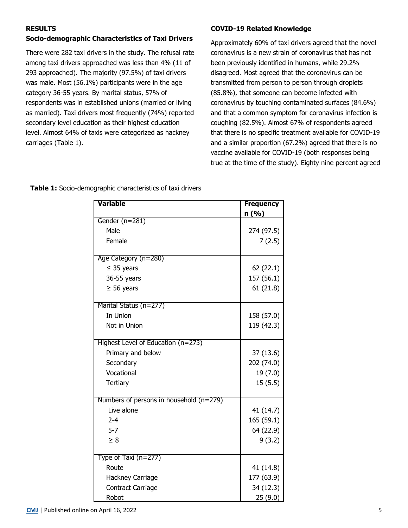## **RESULTS**

## **Socio-demographic Characteristics of Taxi Drivers**

There were 282 taxi drivers in the study. The refusal rate among taxi drivers approached was less than 4% (11 of 293 approached). The majority (97.5%) of taxi drivers was male. Most (56.1%) participants were in the age category 36-55 years. By marital status, 57% of respondents was in established unions (married or living as married). Taxi drivers most frequently (74%) reported secondary level education as their highest education level. Almost 64% of taxis were categorized as hackney carriages (Table 1).

## **COVID-19 Related Knowledge**

Approximately 60% of taxi drivers agreed that the novel coronavirus is a new strain of coronavirus that has not been previously identified in humans, while 29.2% disagreed. Most agreed that the coronavirus can be transmitted from person to person through droplets (85.8%), that someone can become infected with coronavirus by touching contaminated surfaces (84.6%) and that a common symptom for coronavirus infection is coughing (82.5%). Almost 67% of respondents agreed that there is no specific treatment available for COVID-19 and a similar proportion (67.2%) agreed that there is no vaccine available for COVID-19 (both responses being true at the time of the study). Eighty nine percent agreed

| Variable                                  | <b>Frequency</b> |  |
|-------------------------------------------|------------------|--|
|                                           | n (%)            |  |
| Gender (n=281)                            |                  |  |
| Male                                      | 274 (97.5)       |  |
| Female                                    | 7(2.5)           |  |
| Age Category (n=280)                      |                  |  |
| $\leq$ 35 years                           | 62 (22.1)        |  |
| 36-55 years                               | 157 (56.1)       |  |
| $\geq$ 56 years                           | 61(21.8)         |  |
| Marital Status (n=277)                    |                  |  |
| In Union                                  | 158 (57.0)       |  |
| Not in Union                              | 119 (42.3)       |  |
| Highest Level of Education $(n=273)$      |                  |  |
| Primary and below                         | 37 (13.6)        |  |
| Secondary                                 | 202 (74.0)       |  |
| Vocational                                | 19(7.0)          |  |
| Tertiary                                  | 15(5.5)          |  |
| Numbers of persons in household $(n=279)$ |                  |  |
| Live alone                                | 41 (14.7)        |  |
| $2 - 4$                                   | 165(59.1)        |  |
| $5 - 7$                                   | 64 (22.9)        |  |
| $\geq 8$                                  | 9(3.2)           |  |
| Type of Taxi $(n=277)$                    |                  |  |
| Route                                     | 41 (14.8)        |  |
| Hackney Carriage                          | 177 (63.9)       |  |
| Contract Carriage                         | 34 (12.3)        |  |
| Robot                                     | 25(9.0)          |  |

**Table 1:** Socio-demographic characteristics of taxi drivers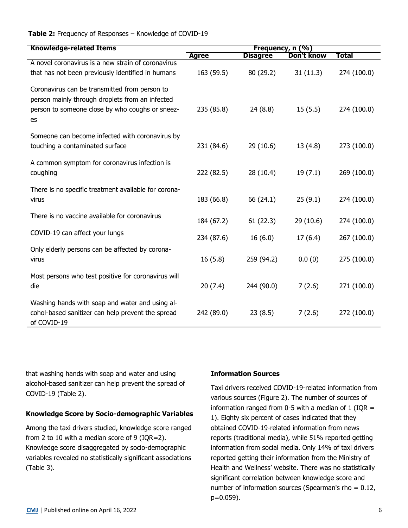## **Table 2:** Frequency of Responses – Knowledge of COVID-19

| <b>Knowledge-related Items</b>                                                                                                                            | Frequency, n (%) |                 |            |             |
|-----------------------------------------------------------------------------------------------------------------------------------------------------------|------------------|-----------------|------------|-------------|
|                                                                                                                                                           | <b>Agree</b>     | <b>Disagree</b> | Don't know | Total       |
| A novel coronavirus is a new strain of coronavirus                                                                                                        |                  |                 |            |             |
| that has not been previously identified in humans                                                                                                         | 163 (59.5)       | 80 (29.2)       | 31(11.3)   | 274 (100.0) |
| Coronavirus can be transmitted from person to<br>person mainly through droplets from an infected<br>person to someone close by who coughs or sneez-<br>es | 235 (85.8)       | 24(8.8)         | 15(5.5)    | 274 (100.0) |
| Someone can become infected with coronavirus by<br>touching a contaminated surface                                                                        | 231 (84.6)       | 29 (10.6)       | 13(4.8)    | 273 (100.0) |
| A common symptom for coronavirus infection is<br>coughing                                                                                                 | 222 (82.5)       | 28 (10.4)       | 19(7.1)    | 269 (100.0) |
| There is no specific treatment available for corona-<br>virus                                                                                             | 183 (66.8)       | 66 (24.1)       | 25(9.1)    | 274 (100.0) |
| There is no vaccine available for coronavirus                                                                                                             | 184 (67.2)       | 61(22.3)        | 29 (10.6)  | 274 (100.0) |
| COVID-19 can affect your lungs                                                                                                                            | 234 (87.6)       | 16(6.0)         | 17(6.4)    | 267 (100.0) |
| Only elderly persons can be affected by corona-<br>virus                                                                                                  | 16(5.8)          | 259 (94.2)      | 0.0(0)     | 275 (100.0) |
| Most persons who test positive for coronavirus will<br>die                                                                                                | 20(7.4)          | 244 (90.0)      | 7(2.6)     | 271 (100.0) |
| Washing hands with soap and water and using al-<br>cohol-based sanitizer can help prevent the spread<br>of COVID-19                                       | 242 (89.0)       | 23(8.5)         | 7(2.6)     | 272 (100.0) |

that washing hands with soap and water and using alcohol-based sanitizer can help prevent the spread of COVID-19 (Table 2).

## **Knowledge Score by Socio-demographic Variables**

Among the taxi drivers studied, knowledge score ranged from 2 to 10 with a median score of 9 (IQR=2). Knowledge score disaggregated by socio-demographic variables revealed no statistically significant associations (Table 3).

## **Information Sources**

Taxi drivers received COVID-19-related information from various sources (Figure 2). The number of sources of information ranged from 0-5 with a median of 1 (IQR  $=$ 1). Eighty six percent of cases indicated that they obtained COVID-19-related information from news reports (traditional media), while 51% reported getting information from social media. Only 14% of taxi drivers reported getting their information from the Ministry of Health and Wellness' website. There was no statistically significant correlation between knowledge score and number of information sources (Spearman's rho = 0.12, p=0.059).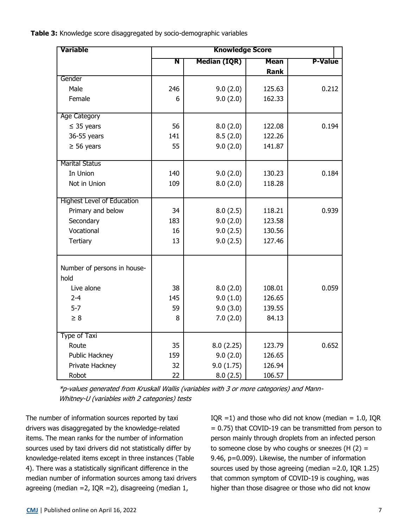**Table 3:** Knowledge score disaggregated by socio-demographic variables

| Variable<br><b>Knowledge Score</b> |     |                     |             |                |
|------------------------------------|-----|---------------------|-------------|----------------|
|                                    | Ñ   | <b>Median (IQR)</b> | <b>Mean</b> | <b>P-Value</b> |
|                                    |     |                     | <b>Rank</b> |                |
| Gender                             |     |                     |             |                |
| Male                               | 246 | 9.0(2.0)            | 125.63      | 0.212          |
| Female                             | 6   | 9.0(2.0)            | 162.33      |                |
| Age Category                       |     |                     |             |                |
| $\leq$ 35 years                    | 56  | 8.0(2.0)            | 122.08      | 0.194          |
| 36-55 years                        | 141 | 8.5(2.0)            | 122.26      |                |
| $\geq$ 56 years                    | 55  | 9.0(2.0)            | 141.87      |                |
| <b>Marital Status</b>              |     |                     |             |                |
| In Union                           | 140 | 9.0(2.0)            | 130.23      | 0.184          |
| Not in Union                       | 109 | 8.0(2.0)            | 118.28      |                |
| <b>Highest Level of Education</b>  |     |                     |             |                |
| Primary and below                  | 34  | 8.0(2.5)            | 118.21      | 0.939          |
| Secondary                          | 183 | 9.0(2.0)            | 123.58      |                |
| Vocational                         | 16  | 9.0(2.5)            | 130.56      |                |
| Tertiary                           | 13  | 9.0(2.5)            | 127.46      |                |
| Number of persons in house-        |     |                     |             |                |
| hold                               |     |                     |             |                |
| Live alone                         | 38  | 8.0(2.0)            | 108.01      | 0.059          |
| $2 - 4$                            | 145 | 9.0(1.0)            | 126.65      |                |
| $5 - 7$                            | 59  | 9.0(3.0)            | 139.55      |                |
| $\geq 8$                           | 8   | 7.0(2.0)            | 84.13       |                |
| Type of Taxi                       |     |                     |             |                |
| Route                              | 35  | 8.0(2.25)           | 123.79      | 0.652          |
| Public Hackney                     | 159 | 9.0(2.0)            | 126.65      |                |
| Private Hackney                    | 32  | 9.0(1.75)           | 126.94      |                |
| Robot                              | 22  | 8.0(2.5)            | 106.57      |                |

\*p-values generated from Kruskall Wallis (variables with 3 or more categories) and Mann-Whitney-U (variables with 2 categories) tests

The number of information sources reported by taxi drivers was disaggregated by the knowledge-related items. The mean ranks for the number of information sources used by taxi drivers did not statistically differ by knowledge-related items except in three instances (Table 4). There was a statistically significant difference in the median number of information sources among taxi drivers agreeing (median = 2, IQR = 2), disagreeing (median  $1$ ,

IQR =1) and those who did not know (median =  $1.0$ , IQR = 0.75) that COVID-19 can be transmitted from person to person mainly through droplets from an infected person to someone close by who coughs or sneezes  $(H (2) =$ 9.46, p=0.009). Likewise, the number of information sources used by those agreeing (median =2.0, IQR 1.25) that common symptom of COVID-19 is coughing, was higher than those disagree or those who did not know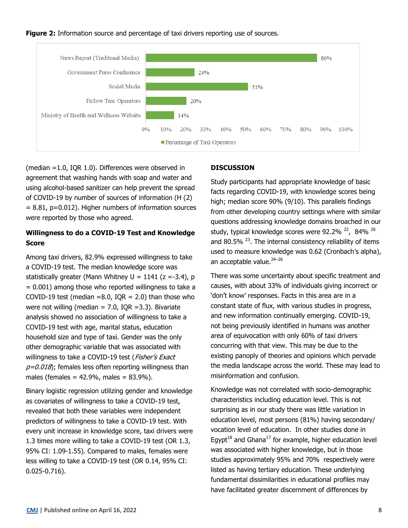



(median =1.0, IQR 1.0). Differences were observed in agreement that washing hands with soap and water and using alcohol-based sanitizer can help prevent the spread of COVID-19 by number of sources of information (H (2)  $= 8.81$ , p=0.012). Higher numbers of information sources were reported by those who agreed.

# **Willingness to do a COVID-19 Test and Knowledge Score**

Among taxi drivers, 82.9% expressed willingness to take a COVID-19 test. The median knowledge score was statistically greater (Mann Whitney  $U = 1141$  (z =-3.4), p  $= 0.001$ ) among those who reported willingness to take a COVID-19 test (median =8.0, IQR = 2.0) than those who were not willing (median  $= 7.0$ , IQR  $= 3.3$ ). Bivariate analysis showed no association of willingness to take a COVID-19 test with age, marital status, education household size and type of taxi. Gender was the only other demographic variable that was associated with willingness to take a COVID-19 test (Fisher's Exact  $p=0.018$ ; females less often reporting willingness than males (females =  $42.9\%$ , males =  $83.9\%$ ).

Binary logistic regression utilizing gender and knowledge as covariates of willingness to take a COVID-19 test, revealed that both these variables were independent predictors of willingness to take a COVID-19 test. With every unit increase in knowledge score, taxi drivers were 1.3 times more willing to take a COVID-19 test (OR 1.3, 95% CI: 1.09-1.55). Compared to males, females were less willing to take a COVID-19 test (OR 0.14, 95% CI: 0.025-0.716).

## **DISCUSSION**

Study participants had appropriate knowledge of basic facts regarding COVID-19, with knowledge scores being high; median score 90% (9/10). This parallels findings from other developing country settings where with similar questions addressing knowledge domains broached in our study, typical knowledge scores were 92.2%  $^{22}$ , 84%  $^{20}$ and 80.5%  $^{23}$ . The internal consistency reliability of items used to measure knowledge was 0.62 (Cronbach's alpha), an acceptable value.<sup>24-26</sup>

There was some uncertainty about specific treatment and causes, with about 33% of individuals giving incorrect or 'don't know' responses. Facts in this area are in a constant state of flux, with various studies in progress, and new information continually emerging. COVID-19, not being previously identified in humans was another area of equivocation with only 60% of taxi drivers concurring with that view. This may be due to the existing panoply of theories and opinions which pervade the media landscape across the world. These may lead to misinformation and confusion.

Knowledge was not correlated with socio-demographic characteristics including education level. This is not surprising as in our study there was little variation in education level, most persons (81%) having secondary/ vocation level of education. In other studies done in Egypt<sup>18</sup> and Ghana<sup>17</sup> for example, higher education level was associated with higher knowledge, but in those studies approximately 95% and 70% respectively were listed as having tertiary education. These underlying fundamental dissimilarities in educational profiles may have facilitated greater discernment of differences by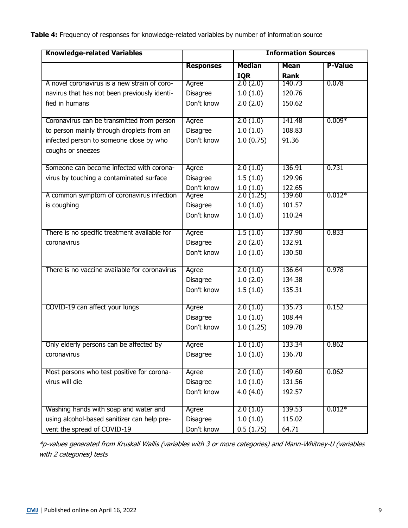**Table 4:** Frequency of responses for knowledge-related variables by number of information source

| <b>Knowledge-related Variables</b>            |                  | <b>Information Sources</b> |             |                |
|-----------------------------------------------|------------------|----------------------------|-------------|----------------|
|                                               | <b>Responses</b> | <b>Median</b>              | <b>Mean</b> | <b>P-Value</b> |
|                                               |                  | <b>IQR</b>                 | Rank        |                |
| A novel coronavirus is a new strain of coro-  | Agree            | $2.\bar{0}$ $(2.0)$        | 140.73      | 0.078          |
| navirus that has not been previously identi-  | Disagree         | 1.0(1.0)                   | 120.76      |                |
| fied in humans                                | Don't know       | 2.0(2.0)                   | 150.62      |                |
| Coronavirus can be transmitted from person    | Agree            | 2.0(1.0)                   | 141.48      | $0.009*$       |
| to person mainly through droplets from an     | Disagree         | 1.0(1.0)                   | 108.83      |                |
| infected person to someone close by who       | Don't know       | 1.0(0.75)                  | 91.36       |                |
| coughs or sneezes                             |                  |                            |             |                |
| Someone can become infected with corona-      | Agree            | 2.0(1.0)                   | 136.91      | 0.731          |
| virus by touching a contaminated surface      | Disagree         | 1.5(1.0)                   | 129.96      |                |
|                                               | Don't know       | 1.0(1.0)                   | 122.65      |                |
| A common symptom of coronavirus infection     | Agree            | 2.0(1.25)                  | 139.60      | $0.012*$       |
| is coughing                                   | Disagree         | 1.0(1.0)                   | 101.57      |                |
|                                               | Don't know       | 1.0(1.0)                   | 110.24      |                |
| There is no specific treatment available for  | Agree            | 1.5(1.0)                   | 137.90      | 0.833          |
| coronavirus                                   | Disagree         | 2.0(2.0)                   | 132.91      |                |
|                                               | Don't know       | 1.0(1.0)                   | 130.50      |                |
|                                               |                  |                            |             |                |
| There is no vaccine available for coronavirus | Agree            | 2.0(1.0)                   | 136.64      | 0.978          |
|                                               | Disagree         | 1.0(2.0)                   | 134.38      |                |
|                                               | Don't know       | 1.5(1.0)                   | 135.31      |                |
| COVID-19 can affect your lungs                | Agree            | 2.0(1.0)                   | 135.73      | 0.152          |
|                                               | Disagree         | 1.0(1.0)                   | 108.44      |                |
|                                               | Don't know       | 1.0(1.25)                  | 109.78      |                |
| Only elderly persons can be affected by       | Agree            | 1.0(1.0)                   | 133.34      | 0.862          |
| coronavirus                                   | <b>Disagree</b>  | 1.0(1.0)                   | 136.70      |                |
|                                               |                  |                            |             |                |
| Most persons who test positive for corona-    | Agree            | 2.0(1.0)                   | 149.60      | 0.062          |
| virus will die                                | Disagree         | 1.0(1.0)                   | 131.56      |                |
|                                               | Don't know       | 4.0(4.0)                   | 192.57      |                |
| Washing hands with soap and water and         | Agree            | 2.0(1.0)                   | 139.53      | $0.012*$       |
| using alcohol-based sanitizer can help pre-   | Disagree         | 1.0(1.0)                   | 115.02      |                |
| vent the spread of COVID-19                   | Don't know       | 0.5(1.75)                  | 64.71       |                |

\*p-values generated from Kruskall Wallis (variables with 3 or more categories) and Mann-Whitney-U (variables with 2 categories) tests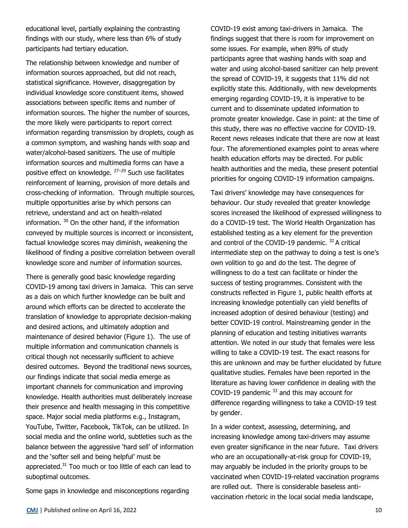educational level, partially explaining the contrasting findings with our study, where less than 6% of study participants had tertiary education.

The relationship between knowledge and number of information sources approached, but did not reach, statistical significance. However, disaggregation by individual knowledge score constituent items, showed associations between specific items and number of information sources. The higher the number of sources, the more likely were participants to report correct information regarding transmission by droplets, cough as a common symptom, and washing hands with soap and water/alcohol-based sanitizers. The use of multiple information sources and multimedia forms can have a positive effect on knowledge. <sup>27–29</sup> Such use facilitates reinforcement of learning, provision of more details and cross-checking of information. Through multiple sources, multiple opportunities arise by which persons can retrieve, understand and act on health-related information.  $30$  On the other hand, if the information conveyed by multiple sources is incorrect or inconsistent, factual knowledge scores may diminish, weakening the likelihood of finding a positive correlation between overall knowledge score and number of information sources.

There is generally good basic knowledge regarding COVID-19 among taxi drivers in Jamaica. This can serve as a dais on which further knowledge can be built and around which efforts can be directed to accelerate the translation of knowledge to appropriate decision-making and desired actions, and ultimately adoption and maintenance of desired behavior (Figure 1). The use of multiple information and communication channels is critical though not necessarily sufficient to achieve desired outcomes. Beyond the traditional news sources, our findings indicate that social media emerge as important channels for communication and improving knowledge. Health authorities must deliberately increase their presence and health messaging in this competitive space. Major social media platforms e.g., Instagram, YouTube, Twitter, Facebook, TikTok, can be utilized. In social media and the online world, subtleties such as the balance between the aggressive 'hard sell' of information and the 'softer sell and being helpful' must be appreciated.<sup>31</sup> Too much or too little of each can lead to suboptimal outcomes.

Some gaps in knowledge and misconceptions regarding

COVID-19 exist among taxi-drivers in Jamaica. The findings suggest that there is room for improvement on some issues. For example, when 89% of study participants agree that washing hands with soap and water and using alcohol-based sanitizer can help prevent the spread of COVID-19, it suggests that 11% did not explicitly state this. Additionally, with new developments emerging regarding COVID-19, it is imperative to be current and to disseminate updated information to promote greater knowledge. Case in point: at the time of this study, there was no effective vaccine for COVID-19. Recent news releases indicate that there are now at least four. The aforementioned examples point to areas where health education efforts may be directed. For public health authorities and the media, these present potential priorities for ongoing COVID-19 information campaigns.

Taxi drivers' knowledge may have consequences for behaviour. Our study revealed that greater knowledge scores increased the likelihood of expressed willingness to do a COVID-19 test. The World Health Organization has established testing as a key element for the prevention and control of the COVID-19 pandemic.  $32$  A critical intermediate step on the pathway to doing a test is one's own volition to go and do the test. The degree of willingness to do a test can facilitate or hinder the success of testing programmes. Consistent with the constructs reflected in Figure 1, public health efforts at increasing knowledge potentially can yield benefits of increased adoption of desired behaviour (testing) and better COVID-19 control. Mainstreaming gender in the planning of education and testing initiatives warrants attention. We noted in our study that females were less willing to take a COVID-19 test. The exact reasons for this are unknown and may be further elucidated by future qualitative studies. Females have been reported in the literature as having lower confidence in dealing with the COVID-19 pandemic  $33$  and this may account for difference regarding willingness to take a COVID-19 test by gender.

In a wider context, assessing, determining, and increasing knowledge among taxi-drivers may assume even greater significance in the near future. Taxi drivers who are an occupationally-at-risk group for COVID-19, may arguably be included in the priority groups to be vaccinated when COVID-19-related vaccination programs are rolled out. There is considerable baseless antivaccination rhetoric in the local social media landscape,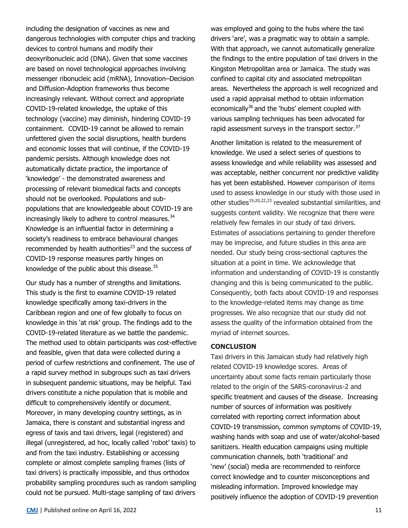including the designation of vaccines as new and dangerous technologies with computer chips and tracking devices to control humans and modify their deoxyribonucleic acid (DNA). Given that some vaccines are based on novel technological approaches involving messenger ribonucleic acid (mRNA), Innovation–Decision and Diffusion-Adoption frameworks thus become increasingly relevant. Without correct and appropriate COVID-19-related knowledge, the uptake of this technology (vaccine) may diminish, hindering COVID-19 containment. COVID-19 cannot be allowed to remain unfettered given the social disruptions, health burdens and economic losses that will continue, if the COVID-19 pandemic persists. Although knowledge does not automatically dictate practice, the importance of 'knowledge' - the demonstrated awareness and processing of relevant biomedical facts and concepts should not be overlooked. Populations and subpopulations that are knowledgeable about COVID-19 are increasingly likely to adhere to control measures. $34$ Knowledge is an influential factor in determining a society's readiness to embrace behavioural changes recommended by health authorities $^{23}$  and the success of COVID-19 response measures partly hinges on knowledge of the public about this disease. $35$ 

Our study has a number of strengths and limitations. This study is the first to examine COVID-19 related knowledge specifically among taxi-drivers in the Caribbean region and one of few globally to focus on knowledge in this 'at risk' group. The findings add to the COVID-19-related literature as we battle the pandemic. The method used to obtain participants was cost-effective and feasible, given that data were collected during a period of curfew restrictions and confinement. The use of a rapid survey method in subgroups such as taxi drivers in subsequent pandemic situations, may be helpful. Taxi drivers constitute a niche population that is mobile and difficult to comprehensively identify or document. Moreover, in many developing country settings, as in Jamaica, there is constant and substantial ingress and egress of taxis and taxi drivers, legal (registered) and illegal (unregistered, ad hoc, locally called 'robot' taxis) to and from the taxi industry. Establishing or accessing complete or almost complete sampling frames (lists of taxi drivers) is practically impossible, and thus orthodox probability sampling procedures such as random sampling could not be pursued. Multi-stage sampling of taxi drivers

was employed and going to the hubs where the taxi drivers 'are', was a pragmatic way to obtain a sample. With that approach, we cannot automatically generalize the findings to the entire population of taxi drivers in the Kingston Metropolitan area or Jamaica. The study was confined to capital city and associated metropolitan areas. Nevertheless the approach is well recognized and used a rapid appraisal method to obtain information economically<sup>36</sup> and the 'hubs' element coupled with various sampling techniques has been advocated for rapid assessment surveys in the transport sector.<sup>37</sup>

Another limitation is related to the measurement of knowledge. We used a select series of questions to assess knowledge and while reliability was assessed and was acceptable, neither concurrent nor predictive validity has yet been established. However comparison of items used to assess knowledge in our study with those used in other studies<sup>19,20,22,23</sup> revealed substantial similarities, and suggests content validity. We recognize that there were relatively few females in our study of taxi drivers. Estimates of associations pertaining to gender therefore may be imprecise, and future studies in this area are needed. Our study being cross-sectional captures the situation at a point in time. We acknowledge that information and understanding of COVID-19 is constantly changing and this is being communicated to the public. Consequently, both facts about COVID-19 and responses to the knowledge-related items may change as time progresses. We also recognize that our study did not assess the quality of the information obtained from the myriad of internet sources.

#### **CONCLUSION**

Taxi drivers in this Jamaican study had relatively high related COVID-19 knowledge scores. Areas of uncertainty about some facts remain particularly those related to the origin of the SARS-coronavirus-2 and specific treatment and causes of the disease. Increasing number of sources of information was positively correlated with reporting correct information about COVID-19 transmission, common symptoms of COVID-19, washing hands with soap and use of water/alcohol-based sanitizers. Health education campaigns using multiple communication channels, both 'traditional' and 'new' (social) media are recommended to reinforce correct knowledge and to counter misconceptions and misleading information. Improved knowledge may positively influence the adoption of COVID-19 prevention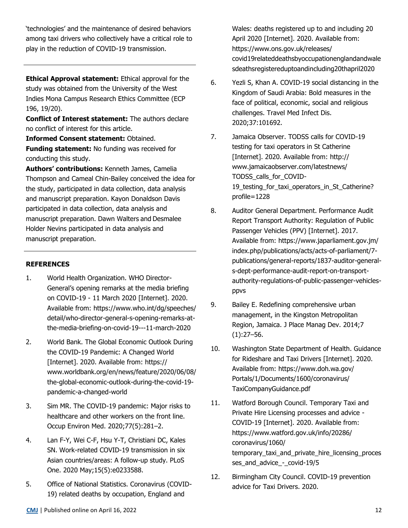'technologies' and the maintenance of desired behaviors among taxi drivers who collectively have a critical role to play in the reduction of COVID-19 transmission.

**Ethical Approval statement:** Ethical approval for the study was obtained from the University of the West Indies Mona Campus Research Ethics Committee (ECP 196, 19/20).

**Conflict of Interest statement:** The authors declare no conflict of interest for this article.

**Informed Consent statement:** Obtained. **Funding statement:** No funding was received for conducting this study.

**Authors' contributions:** Kenneth James, Camelia Thompson and Cameal Chin-Bailey conceived the idea for the study, participated in data collection, data analysis and manuscript preparation. Kayon Donaldson Davis participated in data collection, data analysis and manuscript preparation. Dawn Walters and Desmalee Holder Nevins participated in data analysis and manuscript preparation.

# **REFERENCES**

- 1. World Health Organization. WHO Director-General's opening remarks at the media briefing on COVID-19 - 11 March 2020 [Internet]. 2020. Available from: https://www.who.int/dg/speeches/ detail/who-director-general-s-opening-remarks-atthe-media-briefing-on-covid-19---11-march-2020
- 2. World Bank. The Global Economic Outlook During the COVID-19 Pandemic: A Changed World [Internet]. 2020. Available from: https:// www.worldbank.org/en/news/feature/2020/06/08/ the-global-economic-outlook-during-the-covid-19 pandemic-a-changed-world
- 3. Sim MR. The COVID-19 pandemic: Major risks to healthcare and other workers on the front line. Occup Environ Med. 2020;77(5):281–2.
- 4. Lan F-Y, Wei C-F, Hsu Y-T, Christiani DC, Kales SN. Work-related COVID-19 transmission in six Asian countries/areas: A follow-up study. PLoS One. 2020 May;15(5):e0233588.
- 5. Office of National Statistics. Coronavirus (COVID-19) related deaths by occupation, England and

Wales: deaths registered up to and including 20 April 2020 [Internet]. 2020. Available from: https://www.ons.gov.uk/releases/ covid19relateddeathsbyoccupationenglandandwale sdeathsregistereduptoandincluding20thapril2020

- 6. Yezli S, Khan A. COVID-19 social distancing in the Kingdom of Saudi Arabia: Bold measures in the face of political, economic, social and religious challenges. Travel Med Infect Dis. 2020;37:101692.
- 7. Jamaica Observer. TODSS calls for COVID-19 testing for taxi operators in St Catherine [Internet]. 2020. Available from: http:// www.jamaicaobserver.com/latestnews/ TODSS\_calls\_for\_COVID-19\_testing\_for\_taxi\_operators\_in\_St\_Catherine? profile=1228
- 8. Auditor General Department. Performance Audit Report Transport Authority: Regulation of Public Passenger Vehicles (PPV) [Internet]. 2017. Available from: https://www.japarliament.gov.jm/ index.php/publications/acts/acts-of-parliament/7 publications/general-reports/1837-auditor-generals-dept-performance-audit-report-on-transportauthority-regulations-of-public-passenger-vehiclesppvs
- 9. Bailey E. Redefining comprehensive urban management, in the Kingston Metropolitan Region, Jamaica. J Place Manag Dev. 2014;7  $(1):27-56.$
- 10. Washington State Department of Health. Guidance for Rideshare and Taxi Drivers [Internet]. 2020. Available from: https://www.doh.wa.gov/ Portals/1/Documents/1600/coronavirus/ TaxiCompanyGuidance.pdf
- 11. Watford Borough Council. Temporary Taxi and Private Hire Licensing processes and advice - COVID-19 [Internet]. 2020. Available from: https://www.watford.gov.uk/info/20286/ coronavirus/1060/ temporary taxi and private hire licensing proces ses\_and\_advice -\_covid-19/5
- 12. Birmingham City Council. COVID-19 prevention advice for Taxi Drivers. 2020.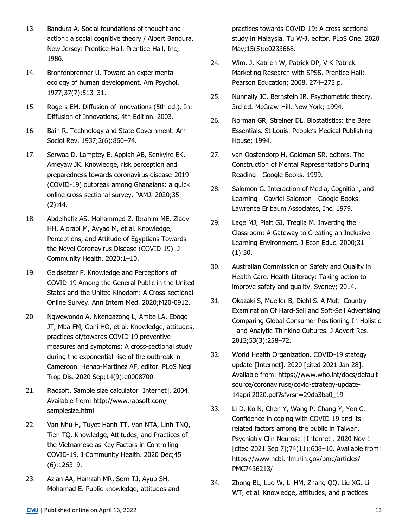- 13. Bandura A. Social foundations of thought and action : a social cognitive theory / Albert Bandura. New Jersey: Prentice-Hall. Prentice-Hall, Inc; 1986.
- 14. Bronfenbrenner U. Toward an experimental ecology of human development. Am Psychol. 1977;37(7):513–31.
- 15. Rogers EM. Diffusion of innovations (5th ed.). In: Diffusion of Innovations, 4th Edition. 2003.
- 16. Bain R. Technology and State Government. Am Sociol Rev. 1937;2(6):860–74.
- 17. Serwaa D, Lamptey E, Appiah AB, Senkyire EK, Ameyaw JK. Knowledge, risk perception and preparedness towards coronavirus disease-2019 (COVID-19) outbreak among Ghanaians: a quick online cross-sectional survey. PAMJ. 2020;35 (2):44.
- 18. Abdelhafiz AS, Mohammed Z, Ibrahim ME, Ziady HH, Alorabi M, Ayyad M, et al. Knowledge, Perceptions, and Attitude of Egyptians Towards the Novel Coronavirus Disease (COVID-19). J Community Health. 2020;1–10.
- 19. Geldsetzer P. Knowledge and Perceptions of COVID-19 Among the General Public in the United States and the United Kingdom: A Cross-sectional Online Survey. Ann Intern Med. 2020;M20-0912.
- 20. Ngwewondo A, Nkengazong L, Ambe LA, Ebogo JT, Mba FM, Goni HO, et al. Knowledge, attitudes, practices of/towards COVID 19 preventive measures and symptoms: A cross-sectional study during the exponential rise of the outbreak in Cameroon. Henao-Martínez AF, editor. PLoS Negl Trop Dis. 2020 Sep;14(9):e0008700.
- 21. Raosoft. Sample size calculator [Internet]. 2004. Available from: http://www.raosoft.com/ samplesize.html
- 22. Van Nhu H, Tuyet-Hanh TT, Van NTA, Linh TNQ, Tien TQ. Knowledge, Attitudes, and Practices of the Vietnamese as Key Factors in Controlling COVID-19. J Community Health. 2020 Dec;45 (6):1263–9.
- 23. Azlan AA, Hamzah MR, Sern TJ, Ayub SH, Mohamad E. Public knowledge, attitudes and

practices towards COVID-19: A cross-sectional study in Malaysia. Tu W-J, editor. PLoS One. 2020 May;15(5):e0233668.

- 24. Wim. J, Katrien W, Patrick DP, V K Patrick. Marketing Research with SPSS. Prentice Hall; Pearson Education; 2008. 274–275 p.
- 25. Nunnally JC, Bernstein IR. Psychometric theory. 3rd ed. McGraw-Hill, New York; 1994.
- 26. Norman GR, Streiner DL. Biostatistics: the Bare Essentials. St Louis: People's Medical Publishing House; 1994.
- 27. van Oostendorp H, Goldman SR, editors. The Construction of Mental Representations During Reading - Google Books. 1999.
- 28. Salomon G. Interaction of Media, Cognition, and Learning - Gavriel Salomon - Google Books. Lawrence Erlbaum Associates, Inc. 1979.
- 29. Lage MJ, Platt GJ, Treglia M. Inverting the Classroom: A Gateway to Creating an Inclusive Learning Environment. J Econ Educ. 2000;31 (1):30.
- 30. Australian Commission on Safety and Quality in Health Care. Health Literacy: Taking action to improve safety and quality. Sydney; 2014.
- 31. Okazaki S, Mueller B, Diehl S. A Multi-Country Examination Of Hard-Sell and Soft-Sell Advertising Comparing Global Consumer Positioning In Holistic - and Analytic-Thinking Cultures. J Advert Res. 2013;53(3):258–72.
- 32. World Health Organization. COVID-19 stategy update [Internet]. 2020 [cited 2021 Jan 28]. Available from: https://www.who.int/docs/defaultsource/coronaviruse/covid-strategy-update-14april2020.pdf?sfvrsn=29da3ba0\_19
- 33. Li D, Ko N, Chen Y, Wang P, Chang Y, Yen C. Confidence in coping with COVID‐19 and its related factors among the public in Taiwan. Psychiatry Clin Neurosci [Internet]. 2020 Nov 1 [cited 2021 Sep 7];74(11):608–10. Available from: https://www.ncbi.nlm.nih.gov/pmc/articles/ PMC7436213/
- 34. Zhong BL, Luo W, Li HM, Zhang QQ, Liu XG, Li WT, et al. Knowledge, attitudes, and practices